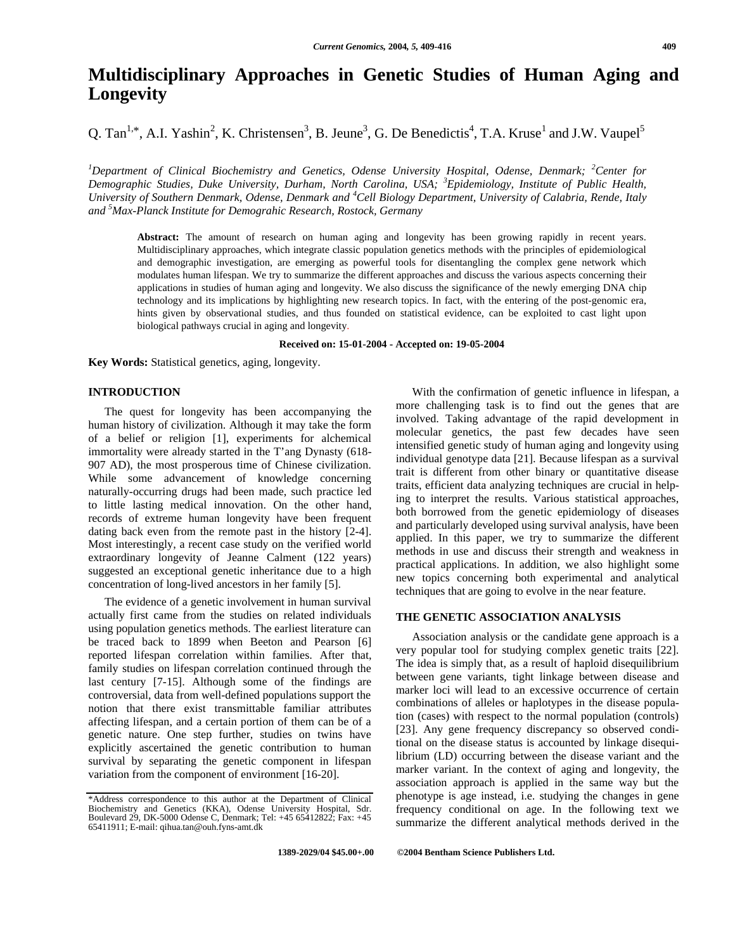# **Multidisciplinary Approaches in Genetic Studies of Human Aging and Longevity**

Q. Tan<sup>1,\*</sup>, A.I. Yashin<sup>2</sup>, K. Christensen<sup>3</sup>, B. Jeune<sup>3</sup>, G. De Benedictis<sup>4</sup>, T.A. Kruse<sup>1</sup> and J.W. Vaupel<sup>5</sup>

*<sup>1</sup>Department of Clinical Biochemistry and Genetics, Odense University Hospital, Odense, Denmark; <sup>2</sup>Center for Demographic Studies, Duke University, Durham, North Carolina, USA; <sup>3</sup>Epidemiology, Institute of Public Health, University of Southern Denmark, Odense, Denmark and <sup>4</sup>Cell Biology Department, University of Calabria, Rende, Italy and <sup>5</sup>Max-Planck Institute for Demograhic Research, Rostock, Germany*

**Abstract:** The amount of research on human aging and longevity has been growing rapidly in recent years. Multidisciplinary approaches, which integrate classic population genetics methods with the principles of epidemiological and demographic investigation, are emerging as powerful tools for disentangling the complex gene network which modulates human lifespan. We try to summarize the different approaches and discuss the various aspects concerning their applications in studies of human aging and longevity. We also discuss the significance of the newly emerging DNA chip technology and its implications by highlighting new research topics. In fact, with the entering of the post-genomic era, hints given by observational studies, and thus founded on statistical evidence, can be exploited to cast light upon biological pathways crucial in aging and longevity.

**Received on: 15-01-2004 - Accepted on: 19-05-2004**

**Key Words:** Statistical genetics, aging, longevity.

# **INTRODUCTION**

The quest for longevity has been accompanying the human history of civilization. Although it may take the form of a belief or religion [1], experiments for alchemical immortality were already started in the T'ang Dynasty (618- 907 AD), the most prosperous time of Chinese civilization. While some advancement of knowledge concerning naturally-occurring drugs had been made, such practice led to little lasting medical innovation. On the other hand, records of extreme human longevity have been frequent dating back even from the remote past in the history [2-4]. Most interestingly, a recent case study on the verified world extraordinary longevity of Jeanne Calment (122 years) suggested an exceptional genetic inheritance due to a high concentration of long-lived ancestors in her family [5].

The evidence of a genetic involvement in human survival actually first came from the studies on related individuals using population genetics methods. The earliest literature can be traced back to 1899 when Beeton and Pearson [6] reported lifespan correlation within families. After that, family studies on lifespan correlation continued through the last century [7-15]. Although some of the findings are controversial, data from well-defined populations support the notion that there exist transmittable familiar attributes affecting lifespan, and a certain portion of them can be of a genetic nature. One step further, studies on twins have explicitly ascertained the genetic contribution to human survival by separating the genetic component in lifespan variation from the component of environment [16-20].

With the confirmation of genetic influence in lifespan, a more challenging task is to find out the genes that are involved. Taking advantage of the rapid development in molecular genetics, the past few decades have seen intensified genetic study of human aging and longevity using individual genotype data [21]. Because lifespan as a survival trait is different from other binary or quantitative disease traits, efficient data analyzing techniques are crucial in helping to interpret the results. Various statistical approaches, both borrowed from the genetic epidemiology of diseases and particularly developed using survival analysis, have been applied. In this paper, we try to summarize the different methods in use and discuss their strength and weakness in practical applications. In addition, we also highlight some new topics concerning both experimental and analytical techniques that are going to evolve in the near feature.

### **THE GENETIC ASSOCIATION ANALYSIS**

Association analysis or the candidate gene approach is a very popular tool for studying complex genetic traits [22]. The idea is simply that, as a result of haploid disequilibrium between gene variants, tight linkage between disease and marker loci will lead to an excessive occurrence of certain combinations of alleles or haplotypes in the disease population (cases) with respect to the normal population (controls) [23]. Any gene frequency discrepancy so observed conditional on the disease status is accounted by linkage disequilibrium (LD) occurring between the disease variant and the marker variant. In the context of aging and longevity, the association approach is applied in the same way but the phenotype is age instead, i.e. studying the changes in gene frequency conditional on age. In the following text we summarize the different analytical methods derived in the

<sup>\*</sup>Address correspondence to this author at the Department of Clinical Biochemistry and Genetics (KKA), Odense University Hospital, Sdr. Boulevard 29, DK-5000 Odense C, Denmark; Tel: +45 65412822; Fax: +45 65411911; E-mail: qihua.tan@ouh.fyns-amt.dk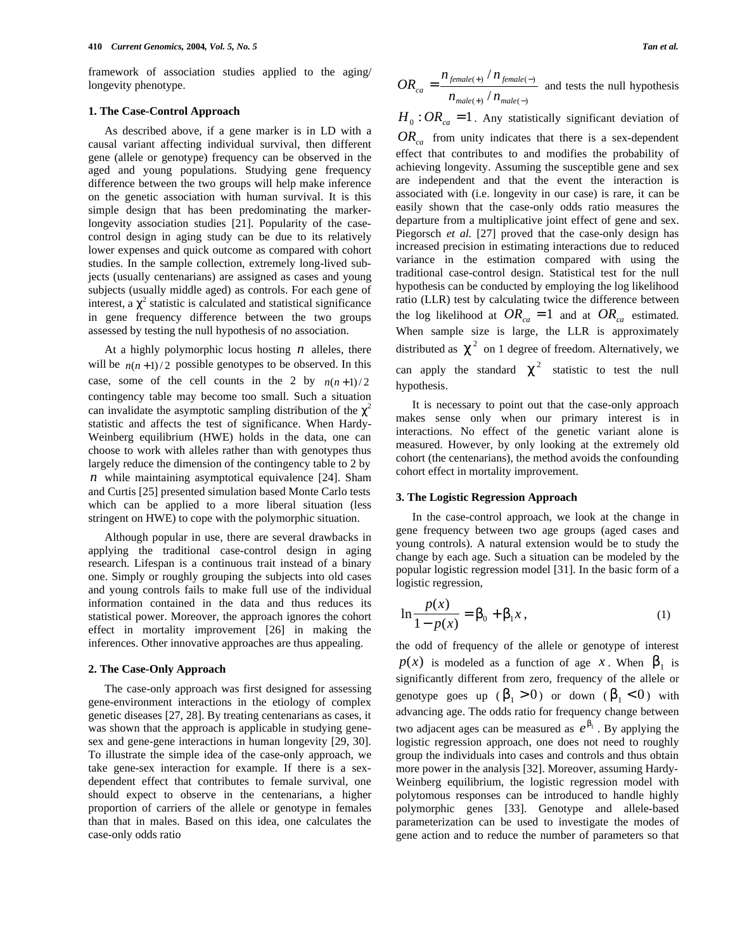framework of association studies applied to the aging/ longevity phenotype.

# **1. The Case-Control Approach**

As described above, if a gene marker is in LD with a causal variant affecting individual survival, then different gene (allele or genotype) frequency can be observed in the aged and young populations. Studying gene frequency difference between the two groups will help make inference on the genetic association with human survival. It is this simple design that has been predominating the markerlongevity association studies [21]. Popularity of the casecontrol design in aging study can be due to its relatively lower expenses and quick outcome as compared with cohort studies. In the sample collection, extremely long-lived subjects (usually centenarians) are assigned as cases and young subjects (usually middle aged) as controls. For each gene of interest, a  $\frac{2}{3}$  statistic is calculated and statistical significance in gene frequency difference between the two groups assessed by testing the null hypothesis of no association.

At a highly polymorphic locus hosting *n* alleles, there will be  $n(n+1)/2$  possible genotypes to be observed. In this case, some of the cell counts in the 2 by  $n(n+1)/2$ contingency table may become too small. Such a situation can invalidate the asymptotic sampling distribution of the  $2$ statistic and affects the test of significance. When Hardy-Weinberg equilibrium (HWE) holds in the data, one can choose to work with alleles rather than with genotypes thus largely reduce the dimension of the contingency table to 2 by *n* while maintaining asymptotical equivalence [24]. Sham and Curtis [25] presented simulation based Monte Carlo tests which can be applied to a more liberal situation (less stringent on HWE) to cope with the polymorphic situation.

Although popular in use, there are several drawbacks in applying the traditional case-control design in aging research. Lifespan is a continuous trait instead of a binary one. Simply or roughly grouping the subjects into old cases and young controls fails to make full use of the individual information contained in the data and thus reduces its statistical power. Moreover, the approach ignores the cohort effect in mortality improvement [26] in making the inferences. Other innovative approaches are thus appealing.

#### **2. The Case-Only Approach**

The case-only approach was first designed for assessing gene-environment interactions in the etiology of complex genetic diseases [27, 28]. By treating centenarians as cases, it was shown that the approach is applicable in studying genesex and gene-gene interactions in human longevity [29, 30]. To illustrate the simple idea of the case-only approach, we take gene-sex interaction for example. If there is a sexdependent effect that contributes to female survival, one should expect to observe in the centenarians, a higher proportion of carriers of the allele or genotype in females than that in males. Based on this idea, one calculates the case-only odds ratio

$$
OR_{ca} = \frac{n_{\text{female(+)}} / n_{\text{female(-)}}}{n_{\text{male(+)}} / n_{\text{male(-)}}}
$$
 and tests the null hypothesis

 $H_0$ :  $OR_{ca}$  = 1. Any statistically significant deviation of *ORca* from unity indicates that there is a sex-dependent

effect that contributes to and modifies the probability of achieving longevity. Assuming the susceptible gene and sex are independent and that the event the interaction is associated with (i.e. longevity in our case) is rare, it can be easily shown that the case-only odds ratio measures the departure from a multiplicative joint effect of gene and sex. Piegorsch *et al.* [27] proved that the case-only design has increased precision in estimating interactions due to reduced variance in the estimation compared with using the traditional case-control design. Statistical test for the null hypothesis can be conducted by employing the log likelihood ratio (LLR) test by calculating twice the difference between the log likelihood at  $OR_{ca} = 1$  and at  $OR_{ca}$  estimated. When sample size is large, the LLR is approximately distributed as  $\frac{2}{3}$  on 1 degree of freedom. Alternatively, we can apply the standard <sup>2</sup> statistic to test the null hypothesis.

It is necessary to point out that the case-only approach makes sense only when our primary interest is in interactions. No effect of the genetic variant alone is measured. However, by only looking at the extremely old cohort (the centenarians), the method avoids the confounding cohort effect in mortality improvement.

#### **3. The Logistic Regression Approach**

In the case-control approach, we look at the change in gene frequency between two age groups (aged cases and young controls). A natural extension would be to study the change by each age. Such a situation can be modeled by the popular logistic regression model [31]. In the basic form of a logistic regression,

$$
\ln \frac{p(x)}{1 - p(x)} = 0 + \frac{1}{2}x, \tag{1}
$$

the odd of frequency of the allele or genotype of interest  $p(x)$  is modeled as a function of age *x*. When  $1$  is significantly different from zero, frequency of the allele or genotype goes up ( $\frac{1}{1} > 0$ ) or down ( $\frac{1}{1} < 0$ ) with advancing age. The odds ratio for frequency change between two adjacent ages can be measured as  $e^{-1}$ . By applying the logistic regression approach, one does not need to roughly group the individuals into cases and controls and thus obtain more power in the analysis [32]. Moreover, assuming Hardy-Weinberg equilibrium, the logistic regression model with polytomous responses can be introduced to handle highly polymorphic genes [33]. Genotype and allele-based parameterization can be used to investigate the modes of gene action and to reduce the number of parameters so that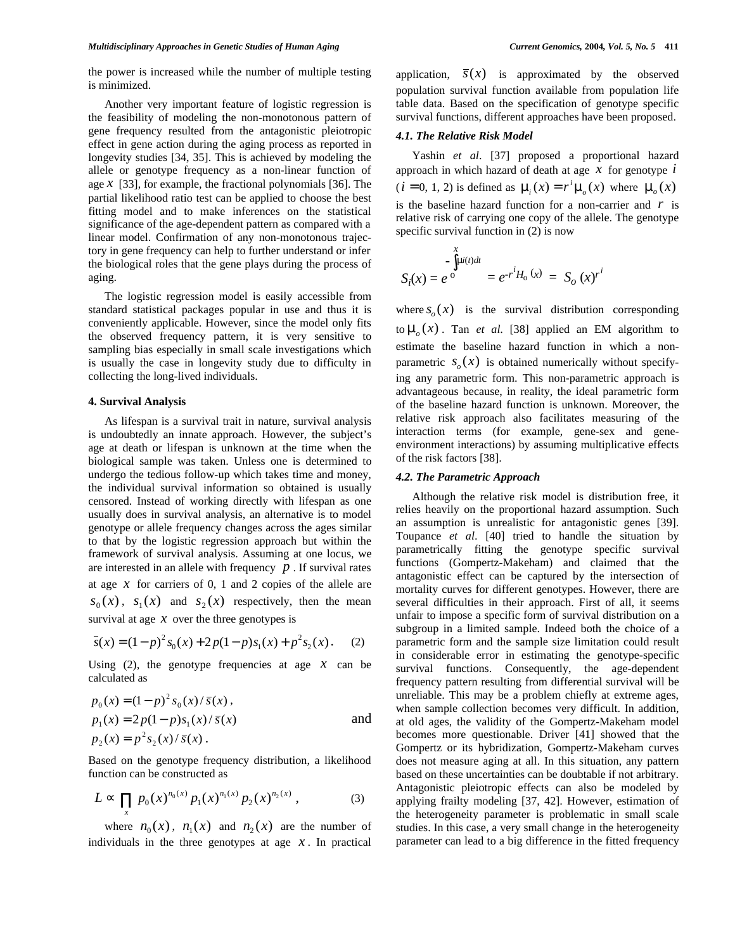the power is increased while the number of multiple testing is minimized.

Another very important feature of logistic regression is the feasibility of modeling the non-monotonous pattern of gene frequency resulted from the antagonistic pleiotropic effect in gene action during the aging process as reported in longevity studies [34, 35]. This is achieved by modeling the allele or genotype frequency as a non-linear function of age  $x$  [33], for example, the fractional polynomials [36]. The partial likelihood ratio test can be applied to choose the best fitting model and to make inferences on the statistical significance of the age-dependent pattern as compared with a linear model. Confirmation of any non-monotonous trajectory in gene frequency can help to further understand or infer the biological roles that the gene plays during the process of aging.

The logistic regression model is easily accessible from standard statistical packages popular in use and thus it is conveniently applicable. However, since the model only fits the observed frequency pattern, it is very sensitive to sampling bias especially in small scale investigations which is usually the case in longevity study due to difficulty in collecting the long-lived individuals.

# **4. Survival Analysis**

As lifespan is a survival trait in nature, survival analysis is undoubtedly an innate approach. However, the subject's age at death or lifespan is unknown at the time when the biological sample was taken. Unless one is determined to undergo the tedious follow-up which takes time and money, the individual survival information so obtained is usually censored. Instead of working directly with lifespan as one usually does in survival analysis, an alternative is to model genotype or allele frequency changes across the ages similar to that by the logistic regression approach but within the framework of survival analysis. Assuming at one locus, we are interested in an allele with frequency  $p$ . If survival rates at age *x* for carriers of 0, 1 and 2 copies of the allele are  $s_0(x)$ ,  $s_1(x)$  and  $s_2(x)$  respectively, then the mean survival at age  $x$  over the three genotypes is

$$
\overline{s}(x) = (1-p)^2 s_0(x) + 2p(1-p)s_1(x) + p^2 s_2(x).
$$
 (2)

Using  $(2)$ , the genotype frequencies at age  $x$  can be calculated as

$$
p_0(x) = (1 - p)^2 s_0(x) / \bar{s}(x),
$$
  
\n
$$
p_1(x) = 2p(1 - p)s_1(x) / \bar{s}(x)
$$
  
\nand  
\n
$$
p_2(x) = p^2 s_2(x) / \bar{s}(x).
$$

Based on the genotype frequency distribution, a likelihood function can be constructed as

$$
L \t p_0(x)^{n_0(x)} p_1(x)^{n_1(x)} p_2(x)^{n_2(x)}, \t(3)
$$

where  $n_0(x)$ ,  $n_1(x)$  and  $n_2(x)$  are the number of individuals in the three genotypes at age  $x$ . In practical application,  $\bar{s}(x)$  is approximated by the observed population survival function available from population life table data. Based on the specification of genotype specific survival functions, different approaches have been proposed.

# *4.1. The Relative Risk Model*

Yashin *et al*. [37] proposed a proportional hazard approach in which hazard of death at age *x* for genotype *i*  $(i = 0, 1, 2)$  is defined as  $\mu_i(x) = r^i \mu_0(x)$  where  $\mu_0(x)$ is the baseline hazard function for a non-carrier and *r* is relative risk of carrying one copy of the allele. The genotype specific survival function in (2) is now

$$
S_i(x) = e^{\circ} = e^{-r^i H_0(x)} = S_0(x)^{r^i}
$$

where  $s_a(x)$  is the survival distribution corresponding to  $\mu_o(x)$ . Tan *et al.* [38] applied an EM algorithm to estimate the baseline hazard function in which a nonparametric  $s_a(x)$  is obtained numerically without specifying any parametric form. This non-parametric approach is advantageous because, in reality, the ideal parametric form of the baseline hazard function is unknown. Moreover, the relative risk approach also facilitates measuring of the interaction terms (for example, gene-sex and geneenvironment interactions) by assuming multiplicative effects of the risk factors [38].

# *4.2. The Parametric Approach*

Although the relative risk model is distribution free, it relies heavily on the proportional hazard assumption. Such an assumption is unrealistic for antagonistic genes [39]. Toupance *et al*. [40] tried to handle the situation by parametrically fitting the genotype specific survival functions (Gompertz-Makeham) and claimed that the antagonistic effect can be captured by the intersection of mortality curves for different genotypes. However, there are several difficulties in their approach. First of all, it seems unfair to impose a specific form of survival distribution on a subgroup in a limited sample. Indeed both the choice of a parametric form and the sample size limitation could result in considerable error in estimating the genotype-specific survival functions. Consequently, the age-dependent frequency pattern resulting from differential survival will be unreliable. This may be a problem chiefly at extreme ages, when sample collection becomes very difficult. In addition, at old ages, the validity of the Gompertz-Makeham model becomes more questionable. Driver [41] showed that the Gompertz or its hybridization, Gompertz-Makeham curves does not measure aging at all. In this situation, any pattern based on these uncertainties can be doubtable if not arbitrary. Antagonistic pleiotropic effects can also be modeled by applying frailty modeling [37, 42]. However, estimation of the heterogeneity parameter is problematic in small scale studies. In this case, a very small change in the heterogeneity parameter can lead to a big difference in the fitted frequency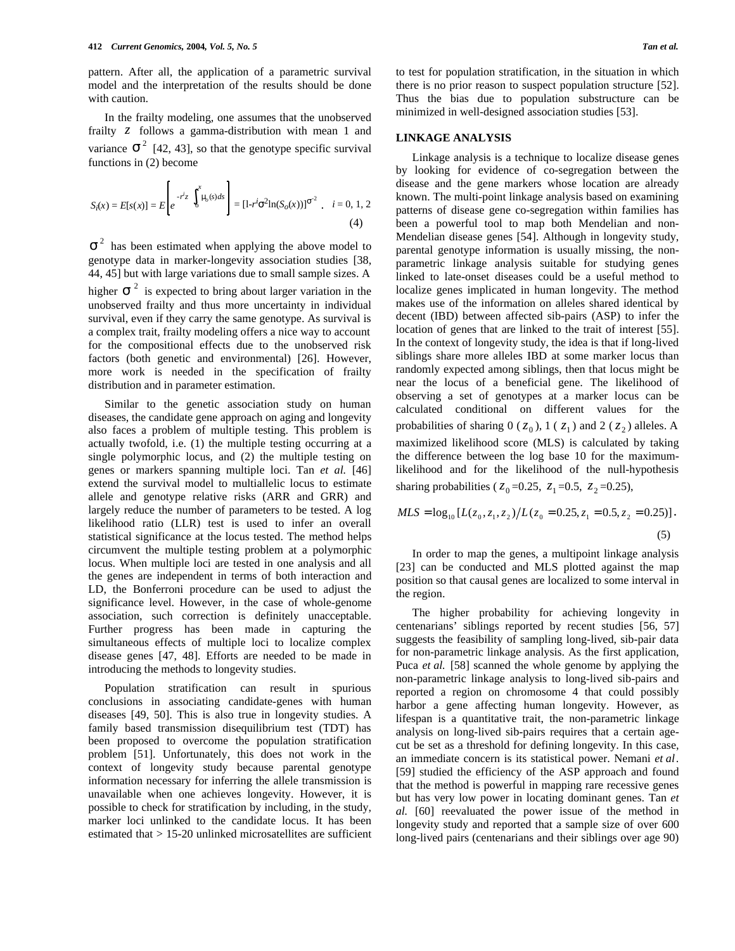pattern. After all, the application of a parametric survival model and the interpretation of the results should be done with caution.

In the frailty modeling, one assumes that the unobserved frailty *z* follows a gamma-distribution with mean 1 and variance  $\frac{2}{142}$ , 43, so that the genotype specific survival functions in (2) become

$$
S_i(x) = E[s(x)] = E\left[e^{-r^i z} \int_0^x \mu_o(s) ds\right] = [1 - r^i \space ^2 \ln(S_o(x))]^{-2}, \quad i = 0, 1, 2
$$
\n(4)

 $2$  has been estimated when applying the above model to genotype data in marker-longevity association studies [38, 44, 45] but with large variations due to small sample sizes. A higher  $\frac{2}{\pi}$  is expected to bring about larger variation in the unobserved frailty and thus more uncertainty in individual survival, even if they carry the same genotype. As survival is a complex trait, frailty modeling offers a nice way to account for the compositional effects due to the unobserved risk factors (both genetic and environmental) [26]. However, more work is needed in the specification of frailty distribution and in parameter estimation.

Similar to the genetic association study on human diseases, the candidate gene approach on aging and longevity also faces a problem of multiple testing. This problem is actually twofold, i.e. (1) the multiple testing occurring at a single polymorphic locus, and (2) the multiple testing on genes or markers spanning multiple loci. Tan *et al.* [46] extend the survival model to multiallelic locus to estimate allele and genotype relative risks (ARR and GRR) and largely reduce the number of parameters to be tested. A log likelihood ratio (LLR) test is used to infer an overall statistical significance at the locus tested. The method helps circumvent the multiple testing problem at a polymorphic locus. When multiple loci are tested in one analysis and all the genes are independent in terms of both interaction and LD, the Bonferroni procedure can be used to adjust the significance level. However, in the case of whole-genome association, such correction is definitely unacceptable. Further progress has been made in capturing the simultaneous effects of multiple loci to localize complex disease genes [47, 48]. Efforts are needed to be made in introducing the methods to longevity studies.

Population stratification can result in spurious conclusions in associating candidate-genes with human diseases [49, 50]. This is also true in longevity studies. A family based transmission disequilibrium test (TDT) has been proposed to overcome the population stratification problem [51]. Unfortunately, this does not work in the context of longevity study because parental genotype information necessary for inferring the allele transmission is unavailable when one achieves longevity. However, it is possible to check for stratification by including, in the study, marker loci unlinked to the candidate locus. It has been estimated that > 15-20 unlinked microsatellites are sufficient to test for population stratification, in the situation in which there is no prior reason to suspect population structure [52]. Thus the bias due to population substructure can be minimized in well-designed association studies [53].

## **LINKAGE ANALYSIS**

Linkage analysis is a technique to localize disease genes by looking for evidence of co-segregation between the disease and the gene markers whose location are already known. The multi-point linkage analysis based on examining patterns of disease gene co-segregation within families has been a powerful tool to map both Mendelian and non-Mendelian disease genes [54]. Although in longevity study, parental genotype information is usually missing, the nonparametric linkage analysis suitable for studying genes linked to late-onset diseases could be a useful method to localize genes implicated in human longevity. The method makes use of the information on alleles shared identical by decent (IBD) between affected sib-pairs (ASP) to infer the location of genes that are linked to the trait of interest [55]. In the context of longevity study, the idea is that if long-lived siblings share more alleles IBD at some marker locus than randomly expected among siblings, then that locus might be near the locus of a beneficial gene. The likelihood of observing a set of genotypes at a marker locus can be calculated conditional on different values for the probabilities of sharing  $0$  ( $z_0$ ),  $1$  ( $z_1$ ) and 2 ( $z_2$ ) alleles. A maximized likelihood score (MLS) is calculated by taking the difference between the log base 10 for the maximumlikelihood and for the likelihood of the null-hypothesis sharing probabilities ( $z_0 = 0.25$ ,  $z_1 = 0.5$ ,  $z_2 = 0.25$ ),

$$
MLS = \log_{10} \left[ L(z_0, z_1, z_2) / L(z_0 = 0.25, z_1 = 0.5, z_2 = 0.25) \right].
$$
\n(5)

In order to map the genes, a multipoint linkage analysis [23] can be conducted and MLS plotted against the map position so that causal genes are localized to some interval in the region.

The higher probability for achieving longevity in centenarians' siblings reported by recent studies [56, 57] suggests the feasibility of sampling long-lived, sib-pair data for non-parametric linkage analysis. As the first application, Puca *et al.* [58] scanned the whole genome by applying the non-parametric linkage analysis to long-lived sib-pairs and reported a region on chromosome 4 that could possibly harbor a gene affecting human longevity. However, as lifespan is a quantitative trait, the non-parametric linkage analysis on long-lived sib-pairs requires that a certain agecut be set as a threshold for defining longevity. In this case, an immediate concern is its statistical power. Nemani *et al*. [59] studied the efficiency of the ASP approach and found that the method is powerful in mapping rare recessive genes but has very low power in locating dominant genes. Tan *et al.* [60] reevaluated the power issue of the method in longevity study and reported that a sample size of over 600 long-lived pairs (centenarians and their siblings over age 90)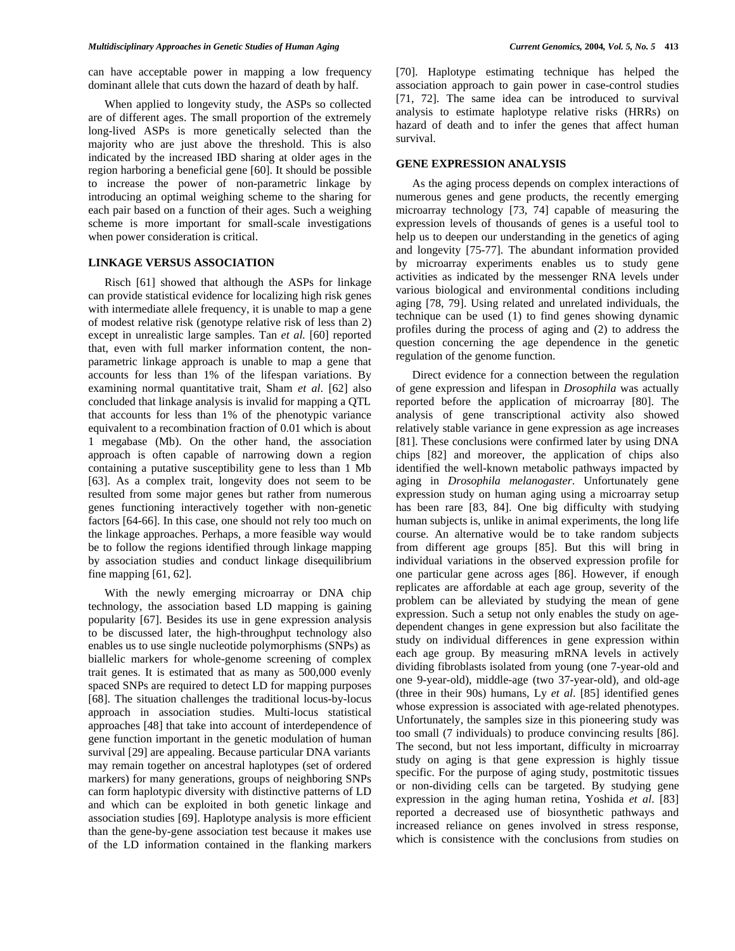can have acceptable power in mapping a low frequency dominant allele that cuts down the hazard of death by half.

When applied to longevity study, the ASPs so collected are of different ages. The small proportion of the extremely long-lived ASPs is more genetically selected than the majority who are just above the threshold. This is also indicated by the increased IBD sharing at older ages in the region harboring a beneficial gene [60]. It should be possible to increase the power of non-parametric linkage by introducing an optimal weighing scheme to the sharing for each pair based on a function of their ages. Such a weighing scheme is more important for small-scale investigations when power consideration is critical.

# **LINKAGE VERSUS ASSOCIATION**

Risch [61] showed that although the ASPs for linkage can provide statistical evidence for localizing high risk genes with intermediate allele frequency, it is unable to map a gene of modest relative risk (genotype relative risk of less than 2) except in unrealistic large samples. Tan *et al.* [60] reported that, even with full marker information content, the nonparametric linkage approach is unable to map a gene that accounts for less than 1% of the lifespan variations. By examining normal quantitative trait, Sham *et al*. [62] also concluded that linkage analysis is invalid for mapping a QTL that accounts for less than 1% of the phenotypic variance equivalent to a recombination fraction of 0.01 which is about 1 megabase (Mb). On the other hand, the association approach is often capable of narrowing down a region containing a putative susceptibility gene to less than 1 Mb [63]. As a complex trait, longevity does not seem to be resulted from some major genes but rather from numerous genes functioning interactively together with non-genetic factors [64-66]. In this case, one should not rely too much on the linkage approaches. Perhaps, a more feasible way would be to follow the regions identified through linkage mapping by association studies and conduct linkage disequilibrium fine mapping [61, 62].

With the newly emerging microarray or DNA chip technology, the association based LD mapping is gaining popularity [67]. Besides its use in gene expression analysis to be discussed later, the high-throughput technology also enables us to use single nucleotide polymorphisms (SNPs) as biallelic markers for whole-genome screening of complex trait genes. It is estimated that as many as 500,000 evenly spaced SNPs are required to detect LD for mapping purposes [68]. The situation challenges the traditional locus-by-locus approach in association studies. Multi-locus statistical approaches [48] that take into account of interdependence of gene function important in the genetic modulation of human survival [29] are appealing. Because particular DNA variants may remain together on ancestral haplotypes (set of ordered markers) for many generations, groups of neighboring SNPs can form haplotypic diversity with distinctive patterns of LD and which can be exploited in both genetic linkage and association studies [69]. Haplotype analysis is more efficient than the gene-by-gene association test because it makes use of the LD information contained in the flanking markers

[70]. Haplotype estimating technique has helped the association approach to gain power in case-control studies [71, 72]. The same idea can be introduced to survival analysis to estimate haplotype relative risks (HRRs) on hazard of death and to infer the genes that affect human survival.

# **GENE EXPRESSION ANALYSIS**

As the aging process depends on complex interactions of numerous genes and gene products, the recently emerging microarray technology [73, 74] capable of measuring the expression levels of thousands of genes is a useful tool to help us to deepen our understanding in the genetics of aging and longevity [75-77]. The abundant information provided by microarray experiments enables us to study gene activities as indicated by the messenger RNA levels under various biological and environmental conditions including aging [78, 79]. Using related and unrelated individuals, the technique can be used (1) to find genes showing dynamic profiles during the process of aging and (2) to address the question concerning the age dependence in the genetic regulation of the genome function.

Direct evidence for a connection between the regulation of gene expression and lifespan in *Drosophila* was actually reported before the application of microarray [80]. The analysis of gene transcriptional activity also showed relatively stable variance in gene expression as age increases [81]. These conclusions were confirmed later by using DNA chips [82] and moreover, the application of chips also identified the well-known metabolic pathways impacted by aging in *Drosophila melanogaster*. Unfortunately gene expression study on human aging using a microarray setup has been rare [83, 84]. One big difficulty with studying human subjects is, unlike in animal experiments, the long life course. An alternative would be to take random subjects from different age groups [85]. But this will bring in individual variations in the observed expression profile for one particular gene across ages [86]. However, if enough replicates are affordable at each age group, severity of the problem can be alleviated by studying the mean of gene expression. Such a setup not only enables the study on agedependent changes in gene expression but also facilitate the study on individual differences in gene expression within each age group. By measuring mRNA levels in actively dividing fibroblasts isolated from young (one 7-year-old and one 9-year-old), middle-age (two 37-year-old), and old-age (three in their 90s) humans, Ly *et al*. [85] identified genes whose expression is associated with age-related phenotypes. Unfortunately, the samples size in this pioneering study was too small (7 individuals) to produce convincing results [86]. The second, but not less important, difficulty in microarray study on aging is that gene expression is highly tissue specific. For the purpose of aging study, postmitotic tissues or non-dividing cells can be targeted. By studying gene expression in the aging human retina, Yoshida *et al*. [83] reported a decreased use of biosynthetic pathways and increased reliance on genes involved in stress response, which is consistence with the conclusions from studies on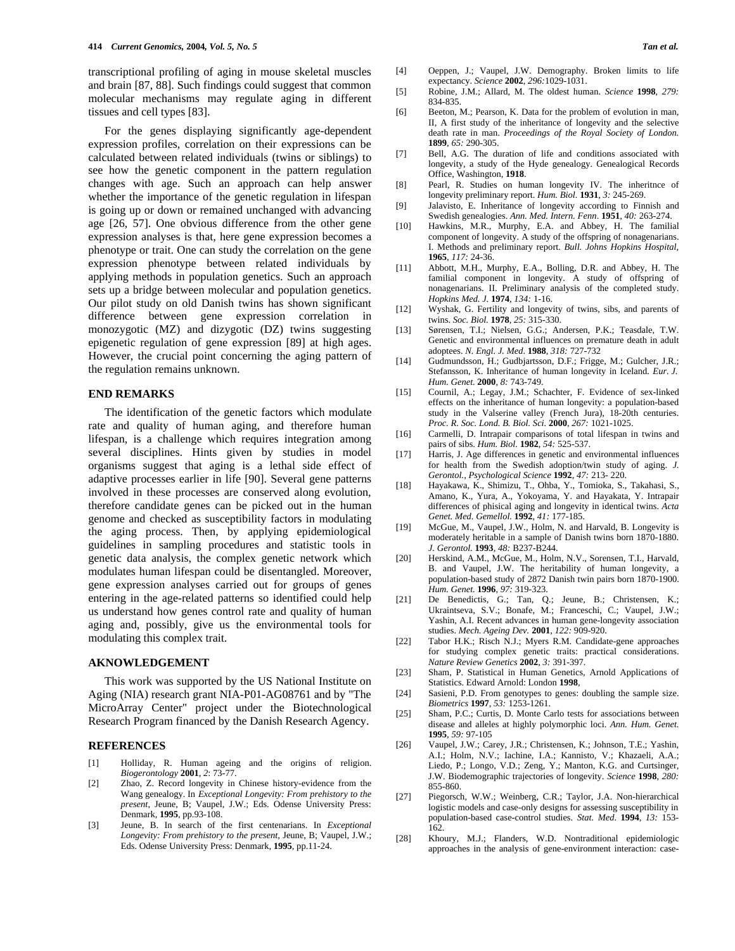transcriptional profiling of aging in mouse skeletal muscles and brain [87, 88]. Such findings could suggest that common molecular mechanisms may regulate aging in different tissues and cell types [83].

For the genes displaying significantly age-dependent expression profiles, correlation on their expressions can be calculated between related individuals (twins or siblings) to see how the genetic component in the pattern regulation changes with age. Such an approach can help answer whether the importance of the genetic regulation in lifespan is going up or down or remained unchanged with advancing age [26, 57]. One obvious difference from the other gene expression analyses is that, here gene expression becomes a phenotype or trait. One can study the correlation on the gene expression phenotype between related individuals by applying methods in population genetics. Such an approach sets up a bridge between molecular and population genetics. Our pilot study on old Danish twins has shown significant difference between gene expression correlation in monozygotic (MZ) and dizygotic (DZ) twins suggesting epigenetic regulation of gene expression [89] at high ages. However, the crucial point concerning the aging pattern of the regulation remains unknown.

# **END REMARKS**

The identification of the genetic factors which modulate rate and quality of human aging, and therefore human lifespan, is a challenge which requires integration among several disciplines. Hints given by studies in model organisms suggest that aging is a lethal side effect of adaptive processes earlier in life [90]. Several gene patterns involved in these processes are conserved along evolution, therefore candidate genes can be picked out in the human genome and checked as susceptibility factors in modulating the aging process. Then, by applying epidemiological guidelines in sampling procedures and statistic tools in genetic data analysis, the complex genetic network which modulates human lifespan could be disentangled. Moreover, gene expression analyses carried out for groups of genes entering in the age-related patterns so identified could help us understand how genes control rate and quality of human aging and, possibly, give us the environmental tools for modulating this complex trait.

# **AKNOWLEDGEMENT**

This work was supported by the US National Institute on Aging (NIA) research grant NIA-P01-AG08761 and by "The MicroArray Center" project under the Biotechnological Research Program financed by the Danish Research Agency.

# **REFERENCES**

- [1] Holliday, R. Human ageing and the origins of religion. *Biogerontology* **2001**, *2*: 73-77.
- [2] Zhao, Z. Record longevity in Chinese history-evidence from the Wang genealogy. In *Exceptional Longevity: From prehistory to the present*, Jeune, B; Vaupel, J.W.; Eds. Odense University Press: Denmark, **1995**, pp.93-108.
- [3] Jeune, B. In search of the first centenarians. In *Exceptional Longevity: From prehistory to the present*, Jeune, B; Vaupel, J.W.; Eds. Odense University Press: Denmark, **1995**, pp.11-24.
- [4] Oeppen, J.; Vaupel, J.W. Demography. Broken limits to life expectancy. *Science* **2002**, *296:*1029-1031.
- [5] Robine, J.M.; Allard, M. The oldest human. *Science* **1998**, *279:* 834-835.
- [6] Beeton, M.; Pearson, K. Data for the problem of evolution in man, II, A first study of the inheritance of longevity and the selective death rate in man. *Proceedings of the Royal Society of London.* **1899**, *65:* 290-305.
- [7] Bell, A.G. The duration of life and conditions associated with longevity, a study of the Hyde genealogy. Genealogical Records Office, Washington, **1918**.
- [8] Pearl, R. Studies on human longevity IV. The inheritnce of longevity preliminary report. *Hum. Biol.* **1931**, *3:* 245-269.
- [9] Jalavisto, E. Inheritance of longevity according to Finnish and Swedish genealogies. *Ann. Med. Intern. Fenn*. **1951**, *40:* 263-274.
- [10] Hawkins, M.R., Murphy, E.A. and Abbey, H. The familial component of longevity. A study of the offspring of nonagenarians. I. Methods and preliminary report. *Bull. Johns Hopkins Hospital,* **1965**, *117:* 24-36.
- [11] Abbott, M.H., Murphy, E.A., Bolling, D.R. and Abbey, H. The familial component in longevity. A study of offspring of nonagenarians. II. Preliminary analysis of the completed study. *Hopkins Med. J.* **1974**, *134:* 1-16.
- [12] Wyshak, G. Fertility and longevity of twins, sibs, and parents of twins. *Soc. Biol.* **1978**, *25:* 315-330.
- [13] Sørensen, T.I.; Nielsen, G.G.; Andersen, P.K.; Teasdale, T.W. Genetic and environmental influences on premature death in adult adoptees. *N. Engl. J. Med*. **1988**, *318:* 727-732
- [14] Gudmundsson, H.; Gudbjartsson, D.F.; Frigge, M.; Gulcher, J.R.; Stefansson, K. Inheritance of human longevity in Iceland. *Eur. J. Hum. Genet.* **2000**, *8:* 743-749.
- [15] Cournil, A.; Legay, J.M.; Schachter, F. Evidence of sex-linked effects on the inheritance of human longevity: a population-based study in the Valserine valley (French Jura), 18-20th centuries. *Proc. R. Soc. Lond. B. Biol. Sci.* **2000**, *267:* 1021-1025.
- [16] Carmelli, D. Intrapair comparisons of total lifespan in twins and pairs of sibs. *Hum. Biol.* **1982**, *54:* 525-537.
- [17] Harris, J. Age differences in genetic and environmental influences for health from the Swedish adoption/twin study of aging. *J. Gerontol., Psychological Science* **1992**, *47:* 213- 220.
- [18] Hayakawa, K., Shimizu, T., Ohba, Y., Tomioka, S., Takahasi, S., Amano, K., Yura, A., Yokoyama, Y. and Hayakata, Y. Intrapair differences of phisical aging and longevity in identical twins. *Acta Genet. Med. Gemellol.* **1992**, *41:* 177-185.
- [19] McGue, M., Vaupel, J.W., Holm, N. and Harvald, B. Longevity is moderately heritable in a sample of Danish twins born 1870-1880. *J. Gerontol.* **1993**, *48:* B237-B244.
- [20] Herskind, A.M., McGue, M., Holm, N.V., Sorensen, T.I., Harvald, B. and Vaupel, J.W. The heritability of human longevity, a population-based study of 2872 Danish twin pairs born 1870-1900. *Hum. Genet.* **1996**, *97:* 319-323.
- [21] De Benedictis, G.; Tan, Q.; Jeune, B.; Christensen, K.; Ukraintseva, S.V.; Bonafe, M.; Franceschi, C.; Vaupel, J.W.; Yashin, A.I. Recent advances in human gene-longevity association studies. *Mech. Ageing Dev.* **2001**, *122:* 909-920.
- [22] Tabor H.K.; Risch N.J.; Myers R.M. Candidate-gene approaches for studying complex genetic traits: practical considerations. *Nature Review Genetics* **2002**, *3:* 391-397.
- [23] Sham, P. Statistical in Human Genetics, Arnold Applications of Statistics. Edward Arnold: London **1998**,
- [24] Sasieni, P.D. From genotypes to genes: doubling the sample size. *Biometrics* **1997**, *53:* 1253-1261.
- [25] Sham, P.C.; Curtis, D. Monte Carlo tests for associations between disease and alleles at highly polymorphic loci. *Ann. Hum. Genet.* **1995**, *59:* 97-105
- [26] Vaupel, J.W.; Carey, J.R.; Christensen, K.; Johnson, T.E.; Yashin, A.I.; Holm, N.V.; Iachine, I.A.; Kannisto, V.; Khazaeli, A.A.; Liedo, P.; Longo, V.D.; Zeng, Y.; Manton, K.G. and Curtsinger, J.W. Biodemographic trajectories of longevity. *Science* **1998**, *280:* 855-860.
- [27] Piegorsch, W.W.; Weinberg, C.R.; Taylor, J.A. Non-hierarchical logistic models and case-only designs for assessing susceptibility in population-based case-control studies. *Stat. Med*. **1994**, *13:* 153- 162.
- [28] Khoury, M.J.; Flanders, W.D. Nontraditional epidemiologic approaches in the analysis of gene-environment interaction: case-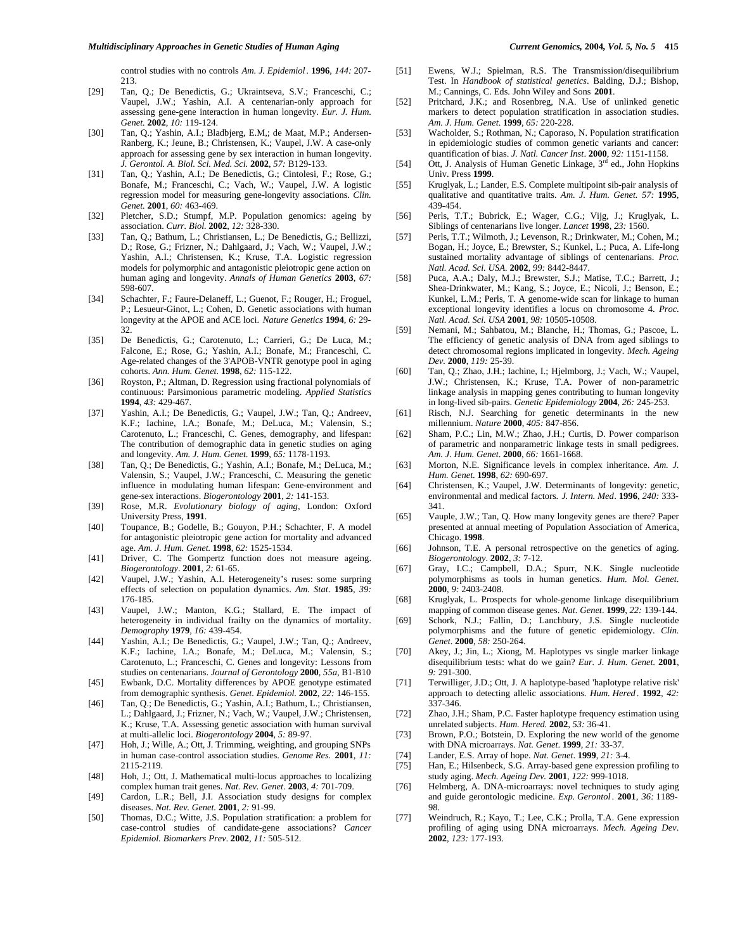control studies with no controls *Am. J. Epidemiol*. **1996**, *144:* 207- 213.

- [29] Tan, Q.; De Benedictis, G.; Ukraintseva, S.V.; Franceschi, C.; Vaupel, J.W.; Yashin, A.I. A centenarian-only approach for assessing gene-gene interaction in human longevity. *Eur. J. Hum. Genet.* **2002**, *10:* 119-124.
- [30] Tan, Q.; Yashin, A.I.; Bladbjerg, E.M,; de Maat, M.P.; Andersen-Ranberg, K.; Jeune, B.; Christensen, K.; Vaupel, J.W. A case-only approach for assessing gene by sex interaction in human longevity. *J. Gerontol. A. Biol. Sci. Med. Sci.* **2002**, *57:* B129-133.
- [31] Tan, Q.; Yashin, A.I.; De Benedictis, G.; Cintolesi, F.; Rose, G.; Bonafe, M.; Franceschi, C.; Vach, W.; Vaupel, J.W. A logistic regression model for measuring gene-longevity associations. *Clin. Genet.* **2001**, *60:* 463-469.
- [32] Pletcher, S.D.; Stumpf, M.P. Population genomics: ageing by association. *Curr. Biol.* **2002**, *12:* 328-330.
- [33] Tan, Q.; Bathum, L.; Christiansen, L.; De Benedictis, G.; Bellizzi, D.; Rose, G.; Frizner, N.; Dahlgaard, J.; Vach, W.; Vaupel, J.W.; Yashin, A.I.; Christensen, K.; Kruse, T.A. Logistic regression models for polymorphic and antagonistic pleiotropic gene action on human aging and longevity. *Annals of Human Genetics* **2003**, *67:* 598-607.
- [34] Schachter, F.; Faure-Delaneff, L.; Guenot, F.; Rouger, H.; Froguel, P.; Lesueur-Ginot, L.; Cohen, D. Genetic associations with human longevity at the APOE and ACE loci. *Nature Genetics* **1994**, *6:* 29- 32.
- [35] De Benedictis, G.; Carotenuto, L.; Carrieri, G.; De Luca, M.; Falcone, E.; Rose, G.; Yashin, A.I.; Bonafe, M.; Franceschi, C. Age-related changes of the 3'APOB-VNTR genotype pool in aging cohorts. *Ann. Hum. Genet.* **1998**, *62:* 115-122.
- [36] Royston, P.; Altman, D. Regression using fractional polynomials of continuous: Parsimonious parametric modeling. *Applied Statistics* **1994**, *43:* 429-467.
- [37] Yashin, A.I.; De Benedictis, G.; Vaupel, J.W.; Tan, Q.; Andreev, K.F.; Iachine, I.A.; Bonafe, M.; DeLuca, M.; Valensin, S.; Carotenuto, L.; Franceschi, C. Genes, demography, and lifespan: The contribution of demographic data in genetic studies on aging and longevity. *Am. J. Hum. Genet*. **1999**, *65:* 1178-1193.
- [38] Tan, Q.; De Benedictis, G.; Yashin, A.I.; Bonafe, M.; DeLuca, M.; Valensin, S.; Vaupel, J.W.; Franceschi, C. Measuring the genetic influence in modulating human lifespan: Gene-environment and gene-sex interactions. *Biogerontology* **2001**, *2:* 141-153.
- [39] Rose, M.R. *Evolutionary biology of aging*, London: Oxford University Press, **1991**.
- [40] Toupance, B.; Godelle, B.; Gouyon, P.H.; Schachter, F. A model for antagonistic pleiotropic gene action for mortality and advanced age. *Am. J. Hum. Genet*. **1998**, *62:* 1525-1534.
- [41] Driver, C. The Gompertz function does not measure ageing. *Biogerontology*. **2001**, *2:* 61-65.
- [42] Vaupel, J.W.; Yashin, A.I. Heterogeneity's ruses: some surpring effects of selection on population dynamics. *Am. Stat*. **1985**, *39:* 176-185.
- [43] Vaupel, J.W.; Manton, K.G.; Stallard, E. The impact of heterogeneity in individual frailty on the dynamics of mortality. *Demography* **1979**, *16:* 439-454.
- [44] Yashin, A.I.; De Benedictis, G.; Vaupel, J.W.; Tan, Q.; Andreev, K.F.; Iachine, I.A.; Bonafe, M.; DeLuca, M.; Valensin, S.; Carotenuto, L.; Franceschi, C. Genes and longevity: Lessons from studies on centenarians. *Journal of Gerontology* **2000**, *55a*, B1-B10
- [45] Ewbank, D.C. Mortality differences by APOE genotype estimated from demographic synthesis. *Genet. Epidemiol.* **2002**, *22:* 146-155.
- [46] Tan, Q.; De Benedictis, G.; Yashin, A.I.; Bathum, L.; Christiansen, L.; Dahlgaard, J.; Frizner, N.; Vach, W.; Vaupel, J.W.; Christensen, K.; Kruse, T.A. Assessing genetic association with human survival at multi-allelic loci. *Biogerontology* **2004**, *5:* 89-97.
- [47] Hoh, J.; Wille, A.; Ott, J. Trimming, weighting, and grouping SNPs in human case-control association studies. *Genome Res.* **2001**, *11:* 2115-2119.
- [48] Hoh, J.; Ott, J. Mathematical multi-locus approaches to localizing complex human trait genes. *Nat. Rev. Genet*. **2003**, *4:* 701-709.
- [49] Cardon, L.R.; Bell, J.I. Association study designs for complex diseases. *Nat. Rev. Genet.* **2001**, *2:* 91-99.
- [50] Thomas, D.C.; Witte, J.S. Population stratification: a problem for case-control studies of candidate-gene associations? *Cancer Epidemiol. Biomarkers Prev*. **2002**, *11:* 505-512.
- [51] Ewens, W.J.; Spielman, R.S. The Transmission/disequilibrium Test. In *Handbook of statistical genetics*. Balding, D.J.; Bishop, M.; Cannings, C. Eds. John Wiley and Sons **2001**.
- [52] Pritchard, J.K.; and Rosenbreg, N.A. Use of unlinked genetic markers to detect population stratification in association studies. *Am. J. Hum. Genet*. **1999**, *65:* 220-228.
- [53] Wacholder, S.; Rothman, N.; Caporaso, N. Population stratification in epidemiologic studies of common genetic variants and cancer: quantification of bias. *J. Natl. Cancer Inst*. **2000**, *92:* 1151-1158.
- [54] Ott, J. Analysis of Human Genetic Linkage, 3<sup>rd</sup> ed., John Hopkins Univ. Press **1999**.
- [55] Kruglyak, L.; Lander, E.S. Complete multipoint sib-pair analysis of qualitative and quantitative traits. *Am. J. Hum. Genet. 57:* **1995**, 439-454.
- [56] Perls, T.T.; Bubrick, E.; Wager, C.G.; Vijg, J.; Kruglyak, L. Siblings of centenarians live longer. *Lancet* **1998**, *23:* 1560.
- [57] Perls, T.T.; Wilmoth, J.; Levenson, R.; Drinkwater, M.; Cohen, M.; Bogan, H.; Joyce, E.; Brewster, S.; Kunkel, L.; Puca, A. Life-long sustained mortality advantage of siblings of centenarians. *Proc. Natl. Acad. Sci. USA.* **2002**, *99:* 8442-8447.
- [58] Puca, A.A.; Daly, M.J.; Brewster, S.J.; Matise, T.C.; Barrett, J.; Shea-Drinkwater, M.; Kang, S.; Joyce, E.; Nicoli, J.; Benson, E.; Kunkel, L.M.; Perls, T. A genome-wide scan for linkage to human exceptional longevity identifies a locus on chromosome 4. *Proc. Natl. Acad. Sci. USA* **2001**, *98:* 10505-10508.
- [59] Nemani, M.; Sahbatou, M.; Blanche, H.; Thomas, G.; Pascoe, L. The efficiency of genetic analysis of DNA from aged siblings to detect chromosomal regions implicated in longevity. *Mech. Ageing Dev.* **2000**, *119:* 25-39.
- [60] Tan, Q.; Zhao, J.H.; Iachine, I.; Hjelmborg, J.; Vach, W.; Vaupel, J.W.; Christensen, K.; Kruse, T.A. Power of non-parametric linkage analysis in mapping genes contributing to human longevity in long-lived sib-pairs. *Genetic Epidemiology* **2004**, *26:* 245-253.
- [61] Risch, N.J. Searching for genetic determinants in the new millennium. *Nature* **2000**, *405:* 847-856.
- [62] Sham, P.C.; Lin, M.W.; Zhao, J.H.; Curtis, D. Power comparison of parametric and nonparametric linkage tests in small pedigrees. *Am. J. Hum. Genet*. **2000**, *66:* 1661-1668.
- [63] Morton, N.E. Significance levels in complex inheritance. *Am. J. Hum. Genet*. **1998**, *62:* 690-697.
- [64] Christensen, K.; Vaupel, J.W. Determinants of longevity: genetic, environmental and medical factors. *J. Intern. Med*. **1996**, *240:* 333- 341.
- [65] Vauple, J.W.; Tan, Q. How many longevity genes are there? Paper presented at annual meeting of Population Association of America, Chicago. **1998**.
- [66] Johnson, T.E. A personal retrospective on the genetics of aging. *Biogerontology*. **2002**, *3:* 7-12.
- [67] Gray, I.C.; Campbell, D.A.; Spurr, N.K. Single nucleotide polymorphisms as tools in human genetics. *Hum. Mol. Genet*. **2000**, *9:* 2403-2408.
- [68] Kruglyak, L. Prospects for whole-genome linkage disequilibrium mapping of common disease genes. *Nat. Genet*. **1999**, *22:* 139-144.
- [69] Schork, N.J.; Fallin, D.; Lanchbury, J.S. Single nucleotide polymorphisms and the future of genetic epidemiology. *Clin. Genet*. **2000**, *58:* 250-264.
- [70] Akey, J.; Jin, L.; Xiong, M. Haplotypes vs single marker linkage disequilibrium tests: what do we gain? *Eur. J. Hum. Genet*. **2001**, *9:* 291-300.
- [71] Terwilliger, J.D.; Ott, J. A haplotype-based 'haplotype relative risk' approach to detecting allelic associations. *Hum. Hered* . **1992**, *42:* 337-346.
- [72] Zhao, J.H.; Sham, P.C. Faster haplotype frequency estimation using unrelated subjects. *Hum. Hered.* **2002**, *53:* 36-41.
- [73] Brown, P.O.; Botstein, D. Exploring the new world of the genome with DNA microarrays. *Nat. Genet*. **1999**, *21:* 33-37.
- [74] Lander, E.S. Array of hope. *Nat. Genet*. **1999**, *21:* 3-4.
- [75] Han, E.; Hilsenbeck, S.G. Array-based gene expression profiling to study aging. *Mech. Ageing Dev.* **2001**, *122:* 999-1018.
- [76] Helmberg, A. DNA-microarrays: novel techniques to study aging and guide gerontologic medicine. *Exp. Gerontol* . **2001**, *36:* 1189- 98.
- [77] Weindruch, R.; Kayo, T.; Lee, C.K.; Prolla, T.A. Gene expression profiling of aging using DNA microarrays. *Mech. Ageing Dev*. **2002**, *123:* 177-193.